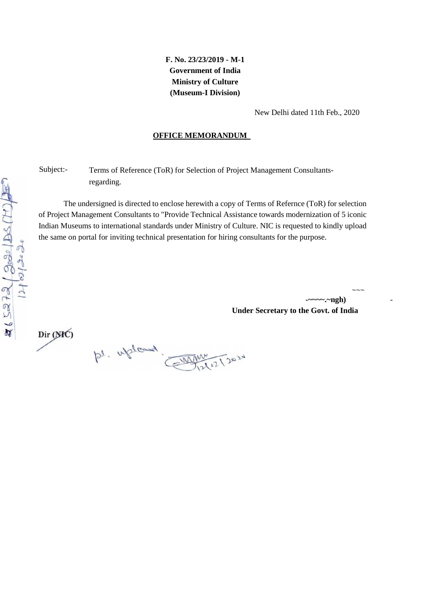**F. No. 23/23/2019 - M-1 Government of India Ministry of Culture (Museum-I Division)** 

New Delhi dated 11th Feb., 2020

#### **OFFICE MEMORANDUM**

Subject:- Terms of Reference (ToR) for Selection of Project Management Consultantsregarding.

The undersigned is directed to enclose herewith a copy of Terms of Refernce (ToR) for selection of Project Management Consultants to "Provide Technical Assistance towards modernization of 5 iconic Indian Museums to international standards under Ministry of Culture. NIC is requested to kindly upload the same on portal for inviting technical presentation for hiring consultants for the purpose.

> **-~~~~.~ngh)** - **Under Secretary to the Govt. of India**

 $\sim\sim\sim$ 

Dir (MC)

 $116272(3020)26(11)20$  $\overline{\mathcal{U}}$ 

ps. uploud. Deszn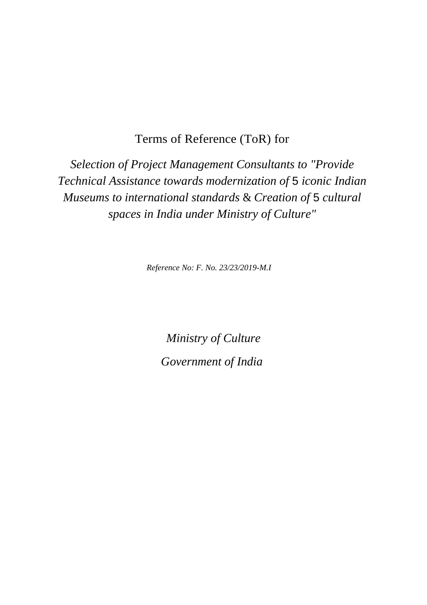Terms of Reference (ToR) for

*Selection of Project Management Consultants to "Provide Technical Assistance towards modernization of* 5 *iconic Indian Museums to international standards* & *Creation of* 5 *cultural spaces in India under Ministry of Culture"* 

*Reference No: F. No. 23/23/2019-M.I* 

*Ministry of Culture Government of India*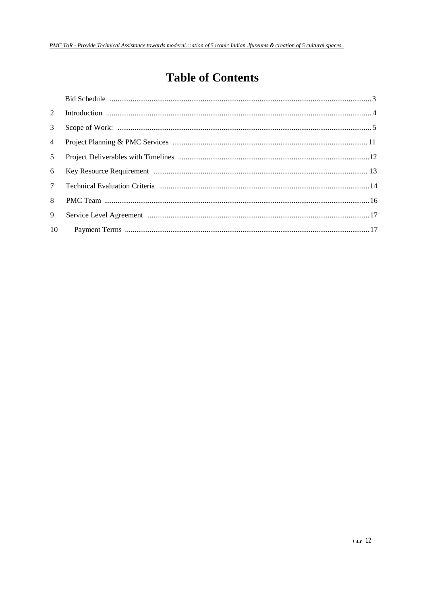# **Table of Contents**

| 3 <sup>7</sup> |  |
|----------------|--|
| $\overline{4}$ |  |
| 5 <sup>5</sup> |  |
| 6              |  |
|                |  |
| 8              |  |
| 9              |  |
| 10             |  |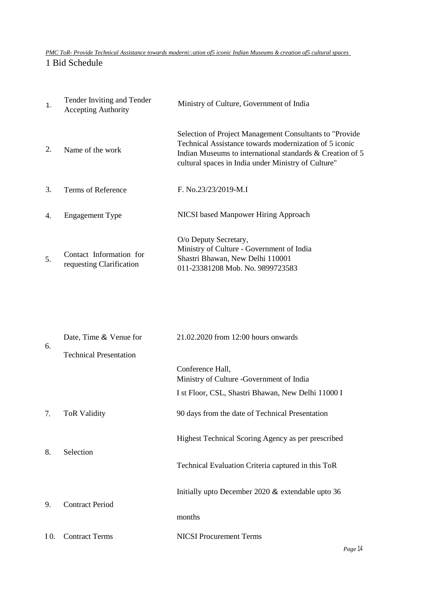*PMC ToR- Provide Technical Assistance towards moderni::ation of5 iconic Indian Museums & creation of5 cultural spaces* 

1 Bid Schedule

| $\mathbf{1}$ .        | Tender Inviting and Tender<br><b>Accepting Authority</b> | Ministry of Culture, Government of India                                                                                                                                                                                               |
|-----------------------|----------------------------------------------------------|----------------------------------------------------------------------------------------------------------------------------------------------------------------------------------------------------------------------------------------|
| 2.                    | Name of the work                                         | Selection of Project Management Consultants to "Provide"<br>Technical Assistance towards modernization of 5 iconic<br>Indian Museums to international standards & Creation of 5<br>cultural spaces in India under Ministry of Culture" |
| 3.                    | Terms of Reference                                       | F. No.23/23/2019-M.I                                                                                                                                                                                                                   |
| $\mathcal{A}_{\cdot}$ | <b>Engagement Type</b>                                   | NICSI based Manpower Hiring Approach                                                                                                                                                                                                   |
| .5.                   | Contact Information for<br>requesting Clarification      | O/o Deputy Secretary,<br>Ministry of Culture - Government of India<br>Shastri Bhawan, New Delhi 110001<br>011-23381208 Mob. No. 9899723583                                                                                             |

|      | Date, Time & Venue for        | 21.02.2020 from 12:00 hours onwards                          |  |  |  |  |
|------|-------------------------------|--------------------------------------------------------------|--|--|--|--|
| 6.   | <b>Technical Presentation</b> |                                                              |  |  |  |  |
|      |                               | Conference Hall,<br>Ministry of Culture -Government of India |  |  |  |  |
|      |                               | I st Floor, CSL, Shastri Bhawan, New Delhi 11000 I           |  |  |  |  |
| 7.   | <b>ToR Validity</b>           | 90 days from the date of Technical Presentation              |  |  |  |  |
| 8.   | Selection                     | Highest Technical Scoring Agency as per prescribed           |  |  |  |  |
|      |                               | Technical Evaluation Criteria captured in this ToR           |  |  |  |  |
| 9.   | <b>Contract Period</b>        | Initially upto December 2020 & extendable upto 36            |  |  |  |  |
|      |                               | months                                                       |  |  |  |  |
| I 0. | <b>Contract Terms</b>         | <b>NICSI</b> Procurement Terms                               |  |  |  |  |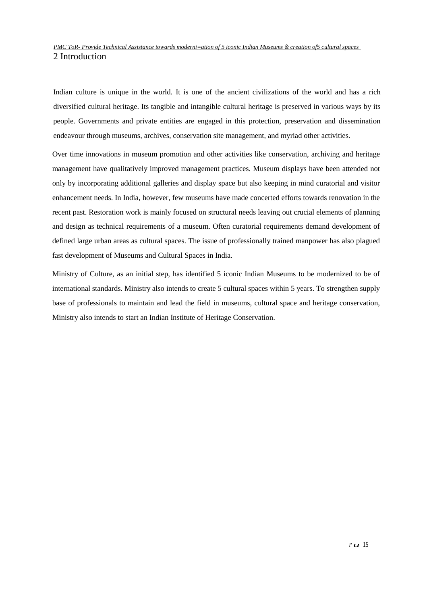#### *PMC ToR- Provide Technical Assistance towards moderni=ation of 5 iconic Indian Museums & creation of5 cultural spaces*  2 Introduction

Indian culture is unique in the world. It is one of the ancient civilizations of the world and has a rich diversified cultural heritage. Its tangible and intangible cultural heritage is preserved in various ways by its people. Governments and private entities are engaged in this protection, preservation and dissemination endeavour through museums, archives, conservation site management, and myriad other activities.

Over time innovations in museum promotion and other activities like conservation, archiving and heritage management have qualitatively improved management practices. Museum displays have been attended not only by incorporating additional galleries and display space but also keeping in mind curatorial and visitor enhancement needs. In India, however, few museums have made concerted efforts towards renovation in the recent past. Restoration work is mainly focused on structural needs leaving out crucial elements of planning and design as technical requirements of a museum. Often curatorial requirements demand development of defined large urban areas as cultural spaces. The issue of professionally trained manpower has also plagued fast development of Museums and Cultural Spaces in India.

Ministry of Culture, as an initial step, has identified 5 iconic Indian Museums to be modernized to be of international standards. Ministry also intends to create 5 cultural spaces within 5 years. To strengthen supply base of professionals to maintain and lead the field in museums, cultural space and heritage conservation, Ministry also intends to start an Indian Institute of Heritage Conservation.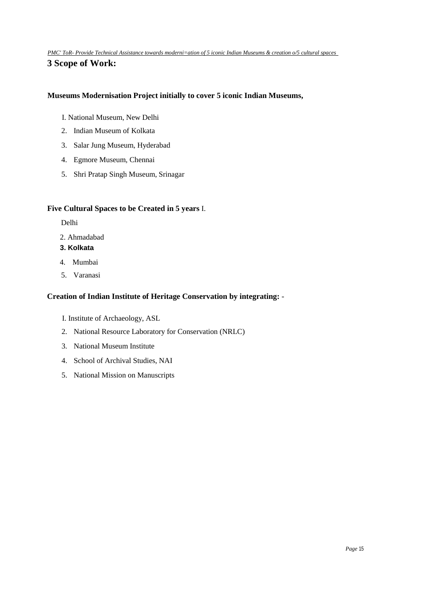*PMC' ToR- Provide Technical Assistance towards moderni=ation of 5 iconic Indian Museums & creation o/5 cultural spaces*  **3 Scope of Work:** 

#### **Museums Modernisation Project initially to cover 5 iconic Indian Museums,**

- I. National Museum, New Delhi
- 2. Indian Museum of Kolkata
- 3. Salar Jung Museum, Hyderabad
- 4. Egmore Museum, Chennai
- 5. Shri Pratap Singh Museum, Srinagar

#### **Five Cultural Spaces to be Created in 5 years** I.

- Delhi
- 2. Ahmadabad
- **3. Kolkata**
- 4. Mumbai
- 5. Varanasi

#### **Creation of Indian Institute of Heritage Conservation by integrating:** -

- I. Institute of Archaeology, ASL
- 2. National Resource Laboratory for Conservation (NRLC)
- 3. National Museum Institute
- 4. School of Archival Studies, NAI
- 5. National Mission on Manuscripts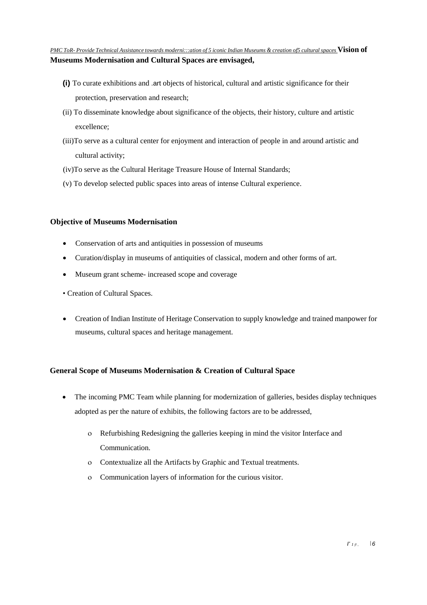*PMC ToR- Provide Technical Assistance towards moderni:::ation of 5 iconic Indian Museums & creation of5 cultural spaces* **Vision of Museums Modernisation and Cultural Spaces are envisaged,** 

- **(i)** To curate exhibitions and .art objects of historical, cultural and artistic significance for their protection, preservation and research;
- (ii) To disseminate knowledge about significance of the objects, their history, culture and artistic excellence;
- (iii)To serve as a cultural center for enjoyment and interaction of people in and around artistic and cultural activity;
- (iv)To serve as the Cultural Heritage Treasure House of Internal Standards;
- (v) To develop selected public spaces into areas of intense Cultural experience.

#### **Objective of Museums Modernisation**

- Conservation of arts and antiquities in possession of museums
- Curation/display in museums of antiquities of classical, modern and other forms of art.
- Museum grant scheme- increased scope and coverage
- Creation of Cultural Spaces.
- Creation of Indian Institute of Heritage Conservation to supply knowledge and trained manpower for museums, cultural spaces and heritage management.

#### **General Scope of Museums Modernisation & Creation of Cultural Space**

- The incoming PMC Team while planning for modernization of galleries, besides display techniques adopted as per the nature of exhibits, the following factors are to be addressed,
	- ο Refurbishing Redesigning the galleries keeping in mind the visitor Interface and Communication.
	- ο Contextualize all the Artifacts by Graphic and Textual treatments.
	- ο Communication layers of information for the curious visitor.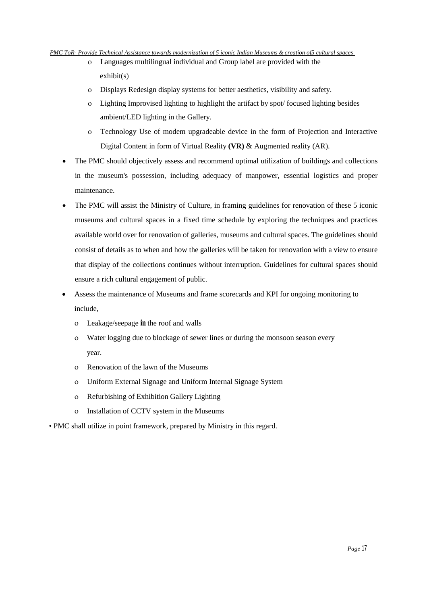#### *PMC ToR- Provide Technical Assistance towards modernization of 5 iconic Indian Museums & creation of5 cultural spaces*

- ο Languages multilingual individual and Group label are provided with the exhibit(s)
- ο Displays Redesign display systems for better aesthetics, visibility and safety.
- ο Lighting Improvised lighting to highlight the artifact by spot/ focused lighting besides ambient/LED lighting in the Gallery.
- ο Technology Use of modem upgradeable device in the form of Projection and Interactive Digital Content in form of Virtual Reality **(VR)** & Augmented reality (AR).
- The PMC should objectively assess and recommend optimal utilization of buildings and collections in the museum's possession, including adequacy of manpower, essential logistics and proper maintenance.
- The PMC will assist the Ministry of Culture, in framing guidelines for renovation of these 5 iconic museums and cultural spaces in a fixed time schedule by exploring the techniques and practices available world over for renovation of galleries, museums and cultural spaces. The guidelines should consist of details as to when and how the galleries will be taken for renovation with a view to ensure that display of the collections continues without interruption. Guidelines for cultural spaces should ensure a rich cultural engagement of public.
- Assess the maintenance of Museums and frame scorecards and KPI for ongoing monitoring to include,
	- ο Leakage/seepage **in** the roof and walls
	- ο Water logging due to blockage of sewer lines or during the monsoon season every year.
	- ο Renovation of the lawn of the Museums
	- ο Uniform External Signage and Uniform Internal Signage System
	- ο Refurbishing of Exhibition Gallery Lighting
	- ο Installation of CCTV system in the Museums
- PMC shall utilize in point framework, prepared by Ministry in this regard.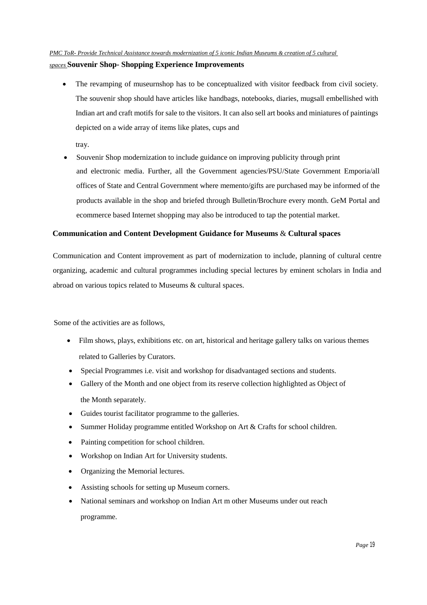#### *PMC ToR- Provide Technical Assistance towards modernization of 5 iconic Indian Museums & creation of 5 cultural*

#### *spaces* **Souvenir Shop- Shopping Experience Improvements**

• The revamping of museurnshop has to be conceptualized with visitor feedback from civil society. The souvenir shop should have articles like handbags, notebooks, diaries, mugsall embellished with Indian art and craft motifs for sale to the visitors. It can also sell art books and miniatures of paintings depicted on a wide array of items like plates, cups and

tray.

• Souvenir Shop modernization to include guidance on improving publicity through print and electronic media. Further, all the Government agencies/PSU/State Government Emporia/all offices of State and Central Government where memento/gifts are purchased may be informed of the products available in the shop and briefed through Bulletin/Brochure every month. GeM Portal and ecommerce based Internet shopping may also be introduced to tap the potential market.

#### **Communication and Content Development Guidance for Museums** & **Cultural spaces**

Communication and Content improvement as part of modernization to include, planning of cultural centre organizing, academic and cultural programmes including special lectures by eminent scholars in India and abroad on various topics related to Museums & cultural spaces.

Some of the activities are as follows,

- Film shows, plays, exhibitions etc. on art, historical and heritage gallery talks on various themes related to Galleries by Curators.
- Special Programmes i.e. visit and workshop for disadvantaged sections and students.
- Gallery of the Month and one object from its reserve collection highlighted as Object of the Month separately.
- Guides tourist facilitator programme to the galleries.
- Summer Holiday programme entitled Workshop on Art & Crafts for school children.
- Painting competition for school children.
- Workshop on Indian Art for University students.
- Organizing the Memorial lectures.
- Assisting schools for setting up Museum corners.
- National seminars and workshop on Indian Art m other Museums under out reach

programme.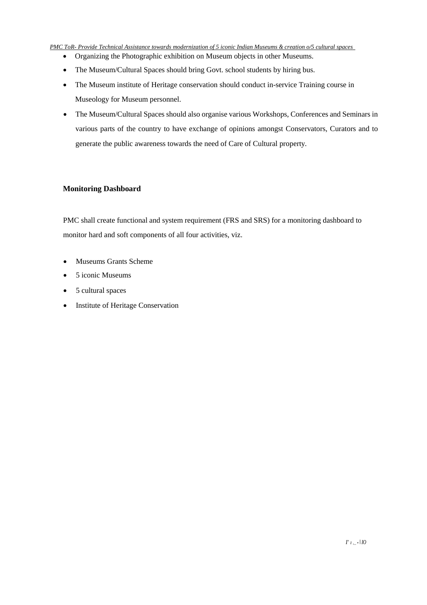#### *PMC ToR- Provide Technical Assistance towards modernization of 5 iconic Indian Museums & creation o/5 cultural spaces*

- Organizing the Photographic exhibition on Museum objects in other Museums.
- The Museum/Cultural Spaces should bring Govt. school students by hiring bus.
- The Museum institute of Heritage conservation should conduct in-service Training course in Museology for Museum personnel.
- The Museum/Cultural Spaces should also organise various Workshops, Conferences and Seminars in various parts of the country to have exchange of opinions amongst Conservators, Curators and to generate the public awareness towards the need of Care of Cultural property.

#### **Monitoring Dashboard**

PMC shall create functional and system requirement (FRS and SRS) for a monitoring dashboard to monitor hard and soft components of all four activities, viz.

- Museums Grants Scheme
- 5 iconic Museums
- 5 cultural spaces
- Institute of Heritage Conservation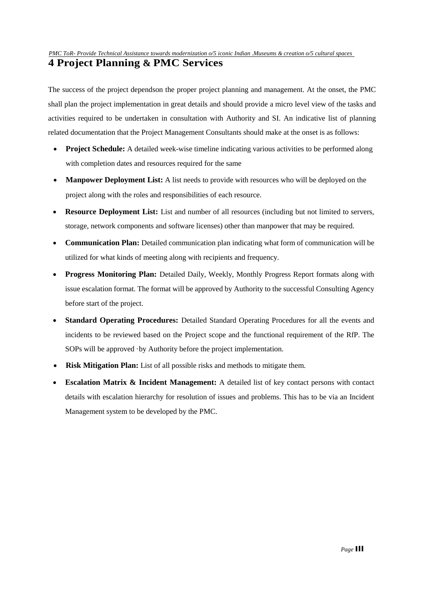*PMC ToR- Provide Technical Assistance towards modernization o/5 iconic Indian .Museums & creation o/5 cultural spaces* 

# **4 Project Planning & PMC Services**

The success of the project dependson the proper project planning and management. At the onset, the PMC shall plan the project implementation in great details and should provide a micro level view of the tasks and activities required to be undertaken in consultation with Authority and SI. An indicative list of planning related documentation that the Project Management Consultants should make at the onset is as follows:

- **Project Schedule:** A detailed week-wise timeline indicating various activities to be performed along with completion dates and resources required for the same
- **Manpower Deployment List:** A list needs to provide with resources who will be deployed on the project along with the roles and responsibilities of each resource.
- **Resource Deployment List:** List and number of all resources (including but not limited to servers, storage, network components and software licenses) other than manpower that may be required.
- **Communication Plan:** Detailed communication plan indicating what form of communication will be utilized for what kinds of meeting along with recipients and frequency.
- **Progress Monitoring Plan:** Detailed Daily, Weekly, Monthly Progress Report formats along with issue escalation format. The format will be approved by Authority to the successful Consulting Agency before start of the project.
- **Standard Operating Procedures:** Detailed Standard Operating Procedures for all the events and incidents to be reviewed based on the Project scope and the functional requirement of the RfP. The SOPs will be approved ·by Authority before the project implementation.
- **Risk Mitigation Plan:** List of all possible risks and methods to mitigate them.
- **Escalation Matrix & Incident Management:** A detailed list of key contact persons with contact details with escalation hierarchy for resolution of issues and problems. This has to be via an Incident Management system to be developed by the PMC.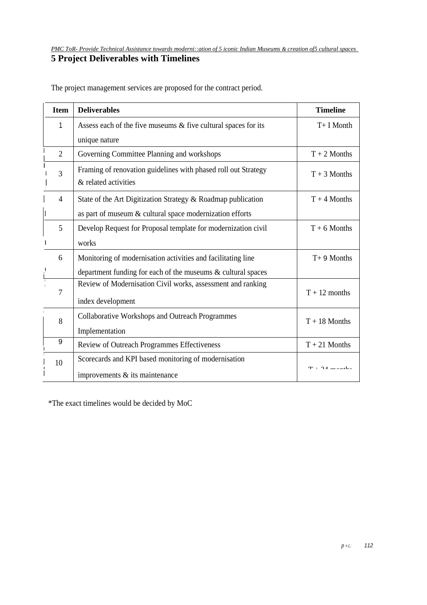# **5 Project Deliverables with Timelines**

| <b>Item</b>    | <b>Deliverables</b>                                                                    | <b>Timeline</b>                              |
|----------------|----------------------------------------------------------------------------------------|----------------------------------------------|
| 1              | Assess each of the five museums & five cultural spaces for its                         | T+ I Month                                   |
|                | unique nature                                                                          |                                              |
| $\overline{2}$ | Governing Committee Planning and workshops                                             | $T + 2$ Months                               |
| 3              | Framing of renovation guidelines with phased roll out Strategy<br>& related activities | $T + 3$ Months                               |
| 4              | State of the Art Digitization Strategy & Roadmap publication                           | $T + 4$ Months                               |
|                | as part of museum & cultural space modernization efforts                               |                                              |
| 5              | Develop Request for Proposal template for modernization civil                          | $T + 6$ Months                               |
|                | works                                                                                  |                                              |
| 6              | Monitoring of modernisation activities and facilitating line                           | $T+9$ Months                                 |
|                | department funding for each of the museums $\&$ cultural spaces                        |                                              |
| 7              | Review of Modernisation Civil works, assessment and ranking                            | $T + 12$ months                              |
|                | index development                                                                      |                                              |
| 8              | <b>Collaborative Workshops and Outreach Programmes</b>                                 | $T + 18$ Months                              |
|                | Implementation                                                                         |                                              |
| 9              | Review of Outreach Programmes Effectiveness                                            | $T + 21$ Months                              |
| 10             | Scorecards and KPI based monitoring of modernisation                                   |                                              |
|                | improvements & its maintenance                                                         | $\mathbf{T} \in \mathbf{A}$ and $\mathbf{A}$ |

The project management services are proposed for the contract period.

\*The exact timelines would be decided by MoC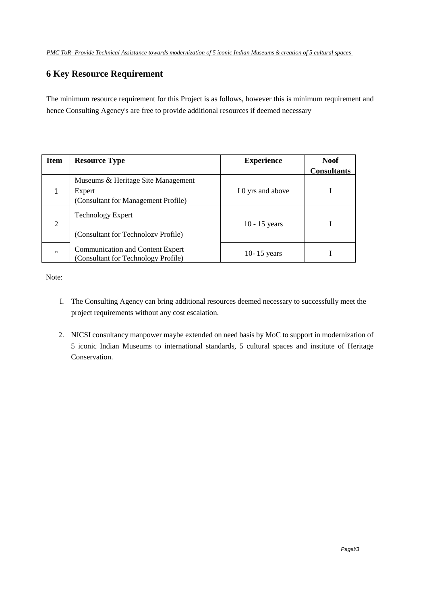## **6 Key Resource Requirement**

The minimum resource requirement for this Project is as follows, however this is minimum requirement and hence Consulting Agency's are free to provide additional resources if deemed necessary

| <b>Item</b>    | <b>Resource Type</b>                    | <b>Experience</b> | Noof               |  |
|----------------|-----------------------------------------|-------------------|--------------------|--|
|                |                                         |                   | <b>Consultants</b> |  |
|                | Museums & Heritage Site Management      |                   |                    |  |
|                | Expert                                  | I 0 yrs and above |                    |  |
|                | (Consultant for Management Profile)     |                   |                    |  |
|                | <b>Technology Expert</b>                |                   |                    |  |
| $\overline{2}$ |                                         | $10 - 15$ years   |                    |  |
|                | (Consultant for Technolozy Profile)     |                   |                    |  |
|                |                                         |                   |                    |  |
| , 1, 1         | <b>Communication and Content Expert</b> | 10-15 years       |                    |  |
|                | (Consultant for Technology Profile)     |                   |                    |  |

Note:

- I. The Consulting Agency can bring additional resources deemed necessary to successfully meet the project requirements without any cost escalation.
- 2. NICSI consultancy manpower maybe extended on need basis by MoC to support in modernization of 5 iconic Indian Museums to international standards, 5 cultural spaces and institute of Heritage Conservation.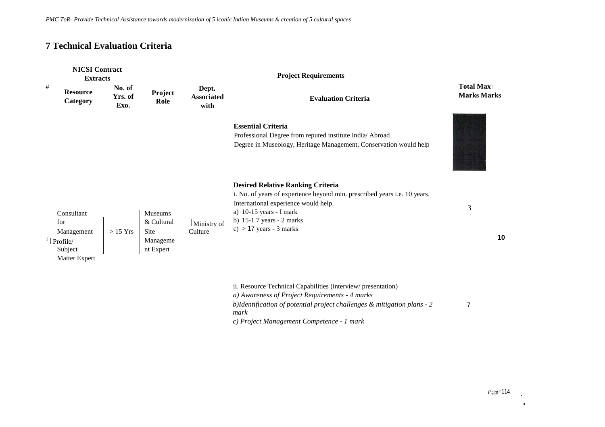### **7 Technical Evaluation Criteria**

| <b>NICSI Contract</b><br><b>Extracts</b> |                                                                                                |                           |                                                                      |                                    |                                                                                                                                                                                                                                                       |                                        |
|------------------------------------------|------------------------------------------------------------------------------------------------|---------------------------|----------------------------------------------------------------------|------------------------------------|-------------------------------------------------------------------------------------------------------------------------------------------------------------------------------------------------------------------------------------------------------|----------------------------------------|
| #                                        | <b>Resource</b><br>Category                                                                    | No. of<br>Yrs. of<br>Exo. | Project<br>Role                                                      | Dept.<br><b>Associated</b><br>with | <b>Evaluation Criteria</b>                                                                                                                                                                                                                            | <b>Total Max</b><br><b>Marks Marks</b> |
|                                          |                                                                                                |                           |                                                                      |                                    | <b>Essential Criteria</b><br>Professional Degree from reputed institute India/ Abroad<br>Degree in Museology, Heritage Management, Conservation would help                                                                                            |                                        |
|                                          | Consultant<br>for<br>Management<br>$\frac{1}{2}$   Profile/<br>Subject<br><b>Matter Expert</b> | $>15$ Yrs                 | <b>Museums</b><br>& Cultural<br><b>Site</b><br>Manageme<br>nt Expert | Ministry of<br>Culture             | <b>Desired Relative Ranking Criteria</b><br>i. No. of years of experience beyond min. prescribed years i.e. 10 years.<br>International experience would help.<br>a) $10-15$ years - I mark<br>b) $15-17$ years - 2 marks<br>c) $> 17$ years - 3 marks | 3<br>10                                |
|                                          |                                                                                                |                           |                                                                      |                                    | ii. Resource Technical Capabilities (interview/presentation)<br>a) Awareness of Project Requirements - 4 marks<br>b)Identification of potential project challenges & mitigation plans - 2<br>mark<br>--                                               | $\overline{7}$                         |

*c) Project Management Competence* - *1 mark*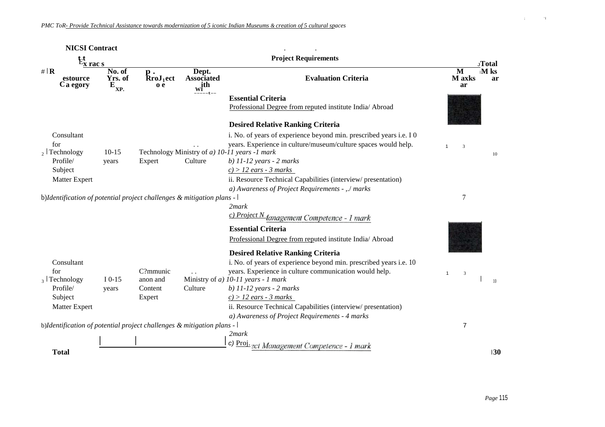| <b>NICSI Contract</b>                                                 |                                                  |                                                |                                         |                                                                                               |                   |                       |
|-----------------------------------------------------------------------|--------------------------------------------------|------------------------------------------------|-----------------------------------------|-----------------------------------------------------------------------------------------------|-------------------|-----------------------|
| $E_{x \text{ rac } s}$                                                |                                                  |                                                | <b>Project Requirements</b>             |                                                                                               |                   | JTotal                |
| # $\mathbf{R}$<br>estource<br>Ca egory                                | No. of<br>Yrs. of<br>$\mathbf{E}_{\mathbf{XP.}}$ | р.<br>$\mathbf{R}$ roJ <sub>1</sub> ect<br>o e | Dept.<br>Associated<br>$\mathbf{w}$ ith | <b>Evaluation Criteria</b>                                                                    | M<br>M axks<br>ar | $\mathbf{M}$ ks<br>ar |
|                                                                       |                                                  |                                                |                                         | <b>Essential Criteria</b><br>Professional Degree from reputed institute India/ Abroad         |                   |                       |
|                                                                       |                                                  |                                                |                                         | <b>Desired Relative Ranking Criteria</b>                                                      |                   |                       |
| Consultant                                                            |                                                  |                                                |                                         | i. No. of years of experience beyond min. prescribed years i.e. I 0                           |                   |                       |
| for                                                                   |                                                  |                                                |                                         | years. Experience in culture/museum/culture spaces would help.                                | 3<br>1            |                       |
| $_2$ Technology                                                       | $10 - 15$                                        |                                                |                                         | Technology Ministry of a) 10-11 years -1 mark                                                 |                   | 10                    |
| Profile/<br>Subject                                                   | years                                            | Expert                                         | Culture                                 | $b)$ 11-12 years - 2 marks<br>$c$ ) > 12 ears - 3 marks                                       |                   |                       |
| <b>Matter Expert</b>                                                  |                                                  |                                                |                                         | ii. Resource Technical Capabilities (interview/presentation)                                  |                   |                       |
|                                                                       |                                                  |                                                |                                         | a) Awareness of Project Requirements - ,./ marks                                              |                   |                       |
| b)Identification of potential project challenges & mitigation plans - |                                                  |                                                |                                         |                                                                                               | $\overline{7}$    |                       |
|                                                                       |                                                  |                                                |                                         | 2mark                                                                                         |                   |                       |
|                                                                       |                                                  |                                                |                                         | c) Project N Janagement Competence - 1 mark                                                   |                   |                       |
|                                                                       |                                                  |                                                |                                         | <b>Essential Criteria</b>                                                                     |                   |                       |
|                                                                       |                                                  |                                                |                                         | Professional Degree from reputed institute India/ Abroad                                      |                   |                       |
|                                                                       |                                                  |                                                |                                         |                                                                                               |                   |                       |
|                                                                       |                                                  |                                                |                                         | <b>Desired Relative Ranking Criteria</b>                                                      |                   |                       |
| Consultant                                                            |                                                  |                                                |                                         | i. No. of years of experience beyond min. prescribed years i.e. 10                            |                   |                       |
| for<br>$_3$ Technology                                                | $I$ 0-15                                         | C?mmunic<br>anon and                           |                                         | years. Experience in culture communication would help.<br>Ministry of a) 10-11 years - 1 mark | $\mathbf{1}$<br>3 |                       |
| Profile/                                                              | years                                            | Content                                        | Culture                                 | $b)$ 11-12 years - 2 marks                                                                    |                   | 10 <sup>10</sup>      |
| Subject                                                               |                                                  | Expert                                         |                                         | $c$ ) > 12 ears - 3 marks                                                                     |                   |                       |
| <b>Matter Expert</b>                                                  |                                                  |                                                |                                         | ii. Resource Technical Capabilities (interview/presentation)                                  |                   |                       |
|                                                                       |                                                  |                                                |                                         | a) Awareness of Project Requirements - 4 marks                                                |                   |                       |
| b)Identification of potential project challenges & mitigation plans - |                                                  |                                                |                                         |                                                                                               | 7                 |                       |
|                                                                       |                                                  |                                                |                                         | 2mark                                                                                         |                   |                       |
|                                                                       |                                                  |                                                |                                         | c) Proj. ect Management Competence - 1 mark                                                   |                   |                       |
| <b>Total</b>                                                          |                                                  |                                                |                                         |                                                                                               |                   | 130                   |

 $\mathbf{r}$  is a  $\mathbf{r}$  -form of  $\mathbf{r}$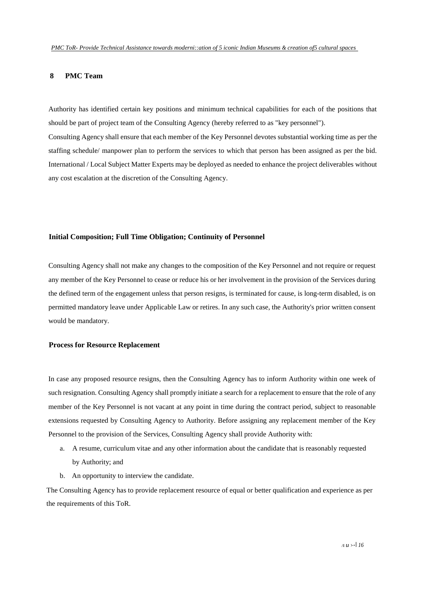#### **8 PMC Team**

Authority has identified certain key positions and minimum technical capabilities for each of the positions that should be part of project team of the Consulting Agency (hereby referred to as "key personnel"). Consulting Agency shall ensure that each member of the Key Personnel devotes substantial working time as per the

staffing schedule/ manpower plan to perform the services to which that person has been assigned as per the bid. International / Local Subject Matter Experts may be deployed as needed to enhance the project deliverables without any cost escalation at the discretion of the Consulting Agency.

#### **Initial Composition; Full Time Obligation; Continuity of Personnel**

Consulting Agency shall not make any changes to the composition of the Key Personnel and not require or request any member of the Key Personnel to cease or reduce his or her involvement in the provision of the Services during the defined term of the engagement unless that person resigns, is terminated for cause, is long-term disabled, is on permitted mandatory leave under Applicable Law or retires. In any such case, the Authority's prior written consent would be mandatory.

#### **Process for Resource Replacement**

In case any proposed resource resigns, then the Consulting Agency has to inform Authority within one week of such resignation. Consulting Agency shall promptly initiate a search for a replacement to ensure that the role of any member of the Key Personnel is not vacant at any point in time during the contract period, subject to reasonable extensions requested by Consulting Agency to Authority. Before assigning any replacement member of the Key Personnel to the provision of the Services, Consulting Agency shall provide Authority with:

- a. A resume, curriculum vitae and any other information about the candidate that is reasonably requested by Authority; and
- b. An opportunity to interview the candidate.

The Consulting Agency has to provide replacement resource of equal or better qualification and experience as per the requirements of this ToR.